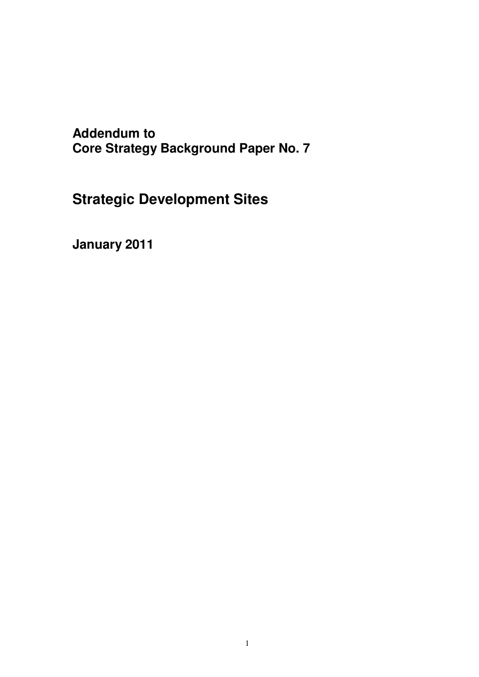# **Addendum to Core Strategy Background Paper No. 7**

**Strategic Development Sites**

**January 2011**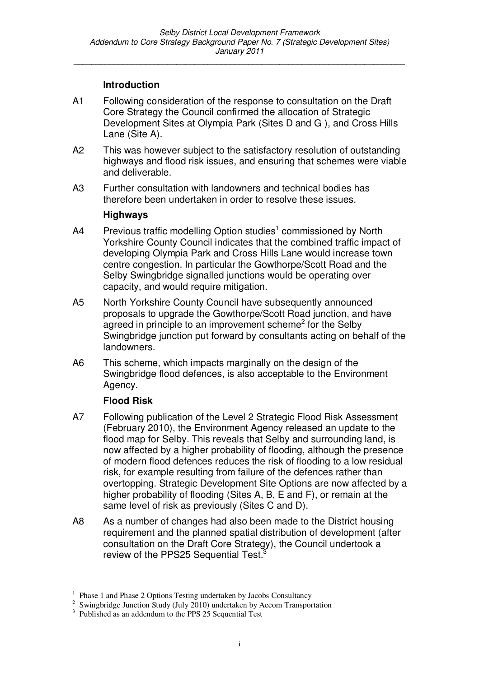*\_\_\_\_\_\_\_\_\_\_\_\_\_\_\_\_\_\_\_\_\_\_\_\_\_\_\_\_\_\_\_\_\_\_\_\_\_\_\_\_\_\_\_\_\_\_\_\_\_\_\_\_\_\_\_\_\_\_\_\_\_\_\_\_\_\_\_\_\_\_\_\_\_\_*

#### **Introduction**

- A1 Following consideration of the response to consultation on the Draft Core Strategy the Council confirmed the allocation of Strategic Development Sites at Olympia Park (Sites D and G ), and Cross Hills Lane (Site A).
- A2 This was however subject to the satisfactory resolution of outstanding highways and flood risk issues, and ensuring that schemes were viable and deliverable.
- A3 Further consultation with landowners and technical bodies has therefore been undertaken in order to resolve these issues.

### **Highways**

- A4 Previous traffic modelling Option studies<sup>1</sup> commissioned by North Yorkshire County Council indicates that the combined traffic impact of developing Olympia Park and Cross Hills Lane would increase town centre congestion. In particular the Gowthorpe/Scott Road and the Selby Swingbridge signalled junctions would be operating over capacity, and would require mitigation.
- A5 North Yorkshire County Council have subsequently announced proposals to upgrade the Gowthorpe/Scott Road junction, and have agreed in principle to an improvement scheme<sup>2</sup> for the Selby Swingbridge junction put forward by consultants acting on behalf of the landowners.
- A6 This scheme, which impacts marginally on the design of the Swingbridge flood defences, is also acceptable to the Environment Agency.

## **Flood Risk**

- A7 Following publication of the Level 2 Strategic Flood Risk Assessment (February 2010), the Environment Agency released an update to the flood map for Selby. This reveals that Selby and surrounding land, is now affected by a higher probability of flooding, although the presence of modern flood defences reduces the risk of flooding to a low residual risk, for example resulting from failure of the defences rather than overtopping. Strategic Development Site Options are now affected by a higher probability of flooding (Sites A, B, E and F), or remain at the same level of risk as previously (Sites C and D).
- A8 As a number of changes had also been made to the District housing requirement and the planned spatial distribution of development (after consultation on the Draft Core Strategy), the Council undertook a review of the PPS25 Sequential Test.<sup>3</sup>

<sup>1</sup> Phase 1 and Phase 2 Options Testing undertaken by Jacobs Consultancy

<sup>&</sup>lt;sup>2</sup> Swingbridge Junction Study (July 2010) undertaken by Aecom Transportation

<sup>&</sup>lt;sup>3</sup> Published as an addendum to the PPS 25 Sequential Test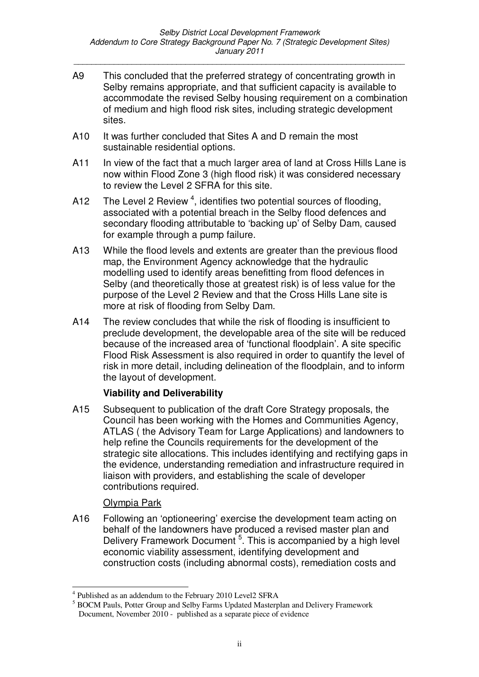*\_\_\_\_\_\_\_\_\_\_\_\_\_\_\_\_\_\_\_\_\_\_\_\_\_\_\_\_\_\_\_\_\_\_\_\_\_\_\_\_\_\_\_\_\_\_\_\_\_\_\_\_\_\_\_\_\_\_\_\_\_\_\_\_\_\_\_\_\_\_\_\_\_\_*

- A9 This concluded that the preferred strategy of concentrating growth in Selby remains appropriate, and that sufficient capacity is available to accommodate the revised Selby housing requirement on a combination of medium and high flood risk sites, including strategic development sites.
- A10 It was further concluded that Sites A and D remain the most sustainable residential options.
- A11 In view of the fact that a much larger area of land at Cross Hills Lane is now within Flood Zone 3 (high flood risk) it was considered necessary to review the Level 2 SFRA for this site.
- A12 The Level 2 Review<sup>4</sup>, identifies two potential sources of flooding, associated with a potential breach in the Selby flood defences and secondary flooding attributable to 'backing up' of Selby Dam, caused for example through a pump failure.
- A13 While the flood levels and extents are greater than the previous flood map, the Environment Agency acknowledge that the hydraulic modelling used to identify areas benefitting from flood defences in Selby (and theoretically those at greatest risk) is of less value for the purpose of the Level 2 Review and that the Cross Hills Lane site is more at risk of flooding from Selby Dam.
- A14 The review concludes that while the risk of flooding is insufficient to preclude development, the developable area of the site will be reduced because of the increased area of 'functional floodplain'. A site specific Flood Risk Assessment is also required in order to quantify the level of risk in more detail, including delineation of the floodplain, and to inform the layout of development.

#### **Viability and Deliverability**

A15 Subsequent to publication of the draft Core Strategy proposals, the Council has been working with the Homes and Communities Agency, ATLAS ( the Advisory Team for Large Applications) and landowners to help refine the Councils requirements for the development of the strategic site allocations. This includes identifying and rectifying gaps in the evidence, understanding remediation and infrastructure required in liaison with providers, and establishing the scale of developer contributions required.

#### Olympia Park

A16 Following an 'optioneering' exercise the development team acting on behalf of the landowners have produced a revised master plan and Delivery Framework Document<sup>5</sup>. This is accompanied by a high level economic viability assessment, identifying development and construction costs (including abnormal costs), remediation costs and

<sup>&</sup>lt;sup>4</sup> Published as an addendum to the February 2010 Level2 SFRA

<sup>5</sup> BOCM Pauls, Potter Group and Selby Farms Updated Masterplan and Delivery Framework Document, November 2010 - published as a separate piece of evidence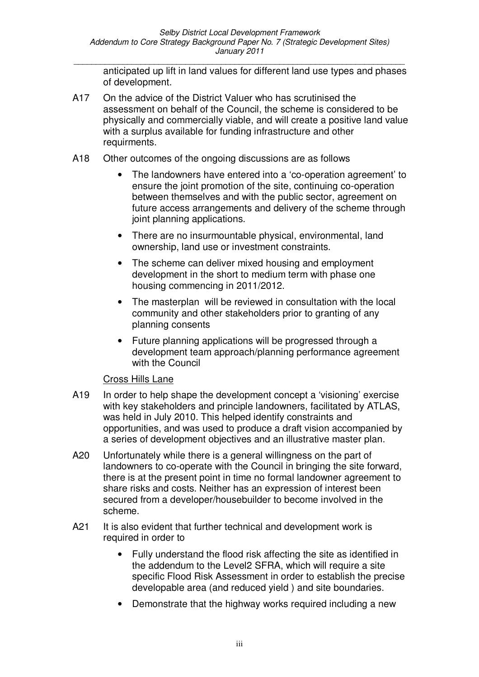*\_\_\_\_\_\_\_\_\_\_\_\_\_\_\_\_\_\_\_\_\_\_\_\_\_\_\_\_\_\_\_\_\_\_\_\_\_\_\_\_\_\_\_\_\_\_\_\_\_\_\_\_\_\_\_\_\_\_\_\_\_\_\_\_\_\_\_\_\_\_\_\_\_\_* anticipated up lift in land values for different land use types and phases of development.

- A17 On the advice of the District Valuer who has scrutinised the assessment on behalf of the Council, the scheme is considered to be physically and commercially viable, and will create a positive land value with a surplus available for funding infrastructure and other requirments.
- A18 Other outcomes of the ongoing discussions are as follows
	- The landowners have entered into a 'co-operation agreement' to ensure the joint promotion of the site, continuing co-operation between themselves and with the public sector, agreement on future access arrangements and delivery of the scheme through joint planning applications.
	- There are no insurmountable physical, environmental, land ownership, land use or investment constraints.
	- The scheme can deliver mixed housing and employment development in the short to medium term with phase one housing commencing in 2011/2012.
	- The masterplan will be reviewed in consultation with the local community and other stakeholders prior to granting of any planning consents
	- Future planning applications will be progressed through a development team approach/planning performance agreement with the Council

#### Cross Hills Lane

- A19 In order to help shape the development concept a 'visioning' exercise with key stakeholders and principle landowners, facilitated by ATLAS, was held in July 2010. This helped identify constraints and opportunities, and was used to produce a draft vision accompanied by a series of development objectives and an illustrative master plan.
- A20 Unfortunately while there is a general willingness on the part of landowners to co-operate with the Council in bringing the site forward, there is at the present point in time no formal landowner agreement to share risks and costs. Neither has an expression of interest been secured from a developer/housebuilder to become involved in the scheme.
- A21 It is also evident that further technical and development work is required in order to
	- Fully understand the flood risk affecting the site as identified in the addendum to the Level2 SFRA, which will require a site specific Flood Risk Assessment in order to establish the precise developable area (and reduced yield ) and site boundaries.
	- Demonstrate that the highway works required including a new